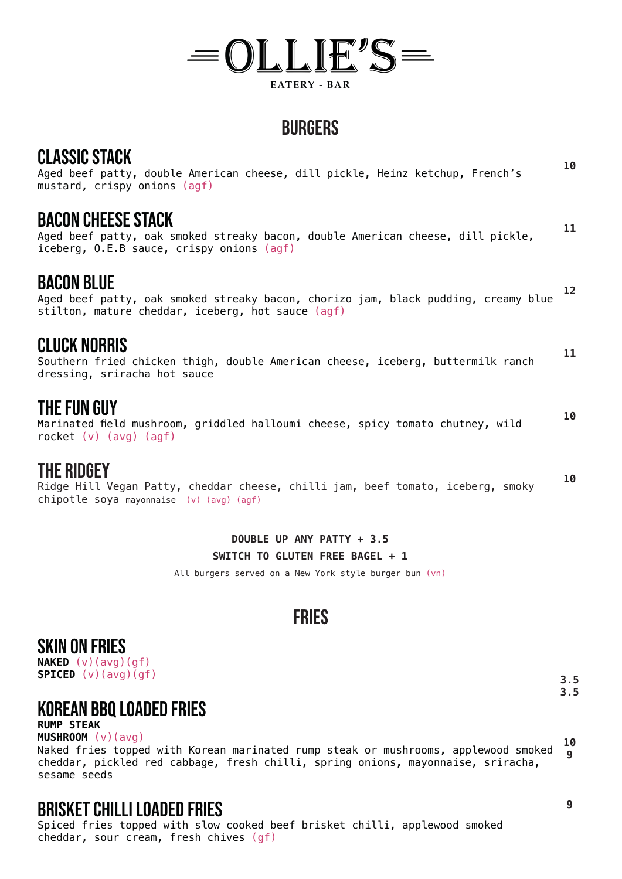# $= 0$ LLIE'S $=$ **EATERY - BAR**

## **BURGERS**

Aged beef patty, double American cheese, dill pickle, Heinz ketchup, French's mustard, crispy onions (agf) **10**

### BACON CHEESE STACK

Aged beef patty, oak smoked streaky bacon, double American cheese, dill pickle, iceberg, O.E.B sauce, crispy onions (agf) **11**

### BACON BLUE

Aged beef patty, oak smoked streaky bacon, chorizo jam, black pudding, creamy blue stilton, mature cheddar, iceberg, hot sauce (agf) **12**

### CLUCK NORRIS

Southern fried chicken thigh, double American cheese, iceberg, buttermilk ranch dressing, sriracha hot sauce **11**

### THE FUN GUY

Marinated field mushroom, griddled halloumi cheese, spicy tomato chutney, wild rocket (v) (avg) (agf)

### THE RIDGEY

Ridge Hill Vegan Patty, cheddar cheese, chilli jam, beef tomato, iceberg, smoky chipotle soya mayonnaise (v) (avg) (agf) **10**

> **DOUBLE UP ANY PATTY + 3.5 SWITCH TO GLUTEN FREE BAGEL + 1**

All burgers served on a New York style burger bun (vn)

## **FRIES**

### SKIN ON FRIES

**NAKED** (v)(avg)(gf) **SPICED** (v)(avg)(gf)

### korean bbq loaded fries

#### **RUMP STEAK**

**MUSHROOM** (v)(avg) Naked fries topped with Korean marinated rump steak or mushrooms, applewood smoked cheddar, pickled red cabbage, fresh chilli, spring onions, mayonnaise, sriracha, sesame seeds **10 9**

### BRISKET CHILLI LOADED FRIES

Spiced fries topped with slow cooked beef brisket chilli, applewood smoked cheddar, sour cream, fresh chives (gf)

**9**

**3.5 3.5**

**10**